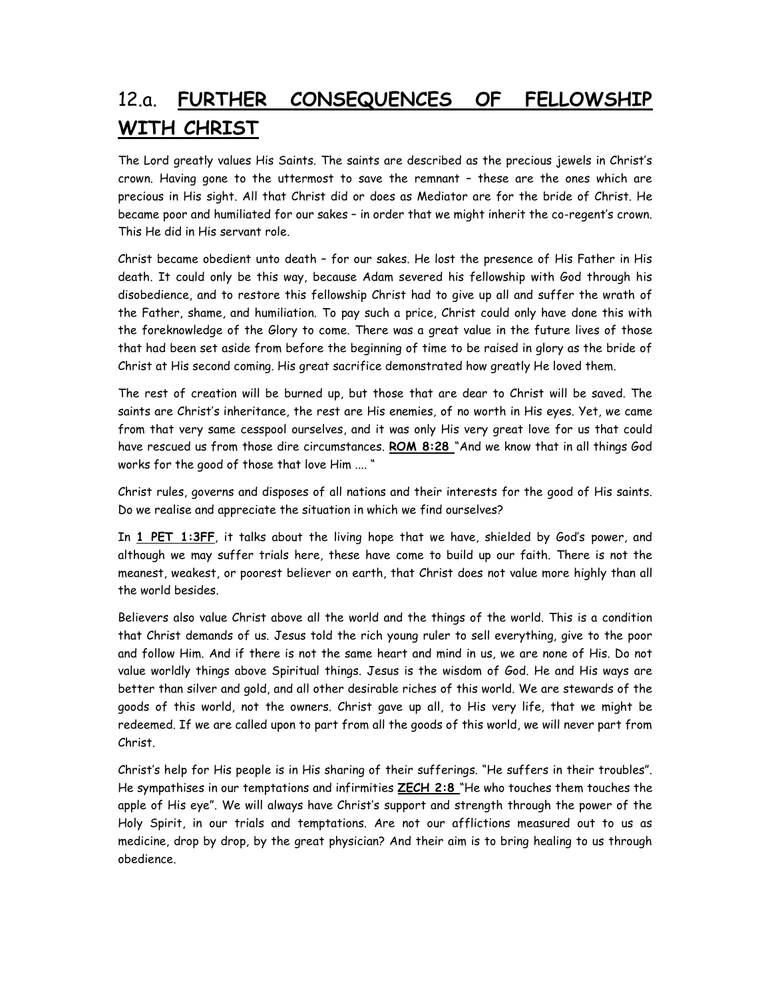## 12.a. FURTHER CONSEQUENCES OF FELLOWSHIP WITH CHRIST

The Lord greatly values His Saints. The saints are described as the precious jewels in Christ's crown. Having gone to the uttermost to save the remnant – these are the ones which are precious in His sight. All that Christ did or does as Mediator are for the bride of Christ. He became poor and humiliated for our sakes – in order that we might inherit the co-regent's crown. This He did in His servant role.

Christ became obedient unto death – for our sakes. He lost the presence of His Father in His death. It could only be this way, because Adam severed his fellowship with God through his disobedience, and to restore this fellowship Christ had to give up all and suffer the wrath of the Father, shame, and humiliation. To pay such a price, Christ could only have done this with the foreknowledge of the Glory to come. There was a great value in the future lives of those that had been set aside from before the beginning of time to be raised in glory as the bride of Christ at His second coming. His great sacrifice demonstrated how greatly He loved them.

The rest of creation will be burned up, but those that are dear to Christ will be saved. The saints are Christ's inheritance, the rest are His enemies, of no worth in His eyes. Yet, we came from that very same cesspool ourselves, and it was only His very great love for us that could have rescued us from those dire circumstances. ROM 8:28 "And we know that in all things God works for the good of those that love Him .... "

Christ rules, governs and disposes of all nations and their interests for the good of His saints. Do we realise and appreciate the situation in which we find ourselves?

In 1 PET 1:3FF, it talks about the living hope that we have, shielded by God's power, and although we may suffer trials here, these have come to build up our faith. There is not the meanest, weakest, or poorest believer on earth, that Christ does not value more highly than all the world besides.

Believers also value Christ above all the world and the things of the world. This is a condition that Christ demands of us. Jesus told the rich young ruler to sell everything, give to the poor and follow Him. And if there is not the same heart and mind in us, we are none of His. Do not value worldly things above Spiritual things. Jesus is the wisdom of God. He and His ways are better than silver and gold, and all other desirable riches of this world. We are stewards of the goods of this world, not the owners. Christ gave up all, to His very life, that we might be redeemed. If we are called upon to part from all the goods of this world, we will never part from Christ.

Christ's help for His people is in His sharing of their sufferings. "He suffers in their troubles". He sympathises in our temptations and infirmities ZECH 2:8 "He who touches them touches the apple of His eye". We will always have Christ's support and strength through the power of the Holy Spirit, in our trials and temptations. Are not our afflictions measured out to us as medicine, drop by drop, by the great physician? And their aim is to bring healing to us through obedience.